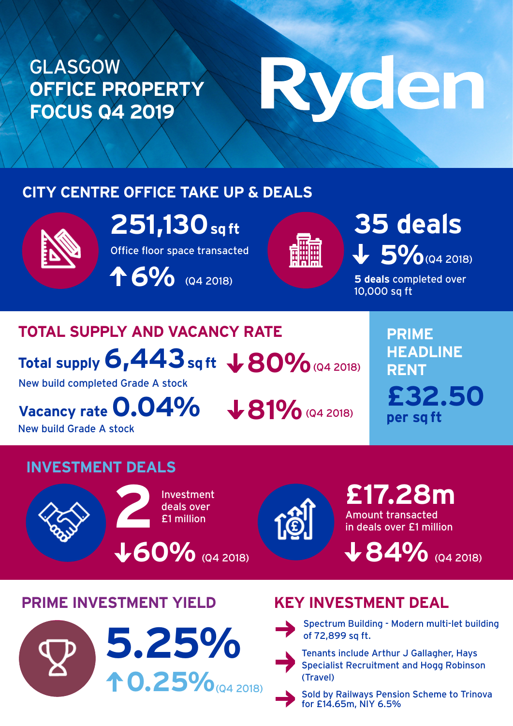## GLASGOW **OFFICE PROPERTY FOCUS Q4 2019**

# Ryden

#### **CITY CENTRE OFFICE TAKE UP & DEALS**



**251,130 sq ft**

Office floor space transacted

**6%** (Q4 2018)



5% (Q4 2018) **35 deals**

**5 deals** completed over 10,000 sq ft

# **TOTAL SUPPLY AND VACANCY RATE**

Total supply  $6,443$  sq ft  $\, \pmb{\downarrow} 80\%$  (Q4 2018)

New build completed Grade A stock

Vacancy rate **0.04%**  $\bigcup$  81% (Q4 2018)

New build Grade A stock

**PRIME HEADLINE RENT £32.50 per sq ft**

#### **INVESTMENT DEALS**





Amount transacted in deals over £1 million **£17.28m**

**84%** (Q4 2018)

### **PRIME INVESTMENT YIELD KEY INVESTMENT DEAL**





Spectrum Building - Modern multi-let building



Specialist Recruitment and Hogg Robinson (Travel)



Sold by Railways Pension Scheme to Trinova for £14.65m, NIY 6.5%